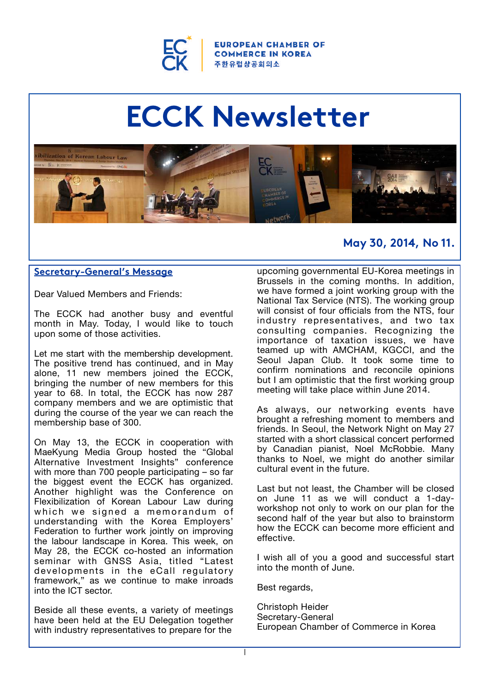

**ROPEAN CHAMBER OF COMMERCE IN KOREA** 주한유럽상공회의소

# **ECCK Newsletter**



# **May 30, 2014, No 11.**

# **Secretary-General's Message**

Dear Valued Members and Friends:

The ECCK had another busy and eventful month in May. Today, I would like to touch upon some of those activities.

Let me start with the membership development. The positive trend has continued, and in May alone, 11 new members joined the ECCK, bringing the number of new members for this year to 68. In total, the ECCK has now 287 company members and we are optimistic that during the course of the year we can reach the membership base of 300.

On May 13, the ECCK in cooperation with MaeKyung Media Group hosted the "Global Alternative Investment Insights" conference with more than 700 people participating – so far the biggest event the ECCK has organized. Another highlight was the Conference on Flexibilization of Korean Labour Law during which we signed a memorandum of understanding with the Korea Employers' Federation to further work jointly on improving the labour landscape in Korea. This week, on May 28, the ECCK co-hosted an information seminar with GNSS Asia, titled "Latest developments in the eCall regulatory framework," as we continue to make inroads into the ICT sector.

Beside all these events, a variety of meetings have been held at the EU Delegation together with industry representatives to prepare for the

upcoming governmental EU-Korea meetings in Brussels in the coming months. In addition, we have formed a joint working group with the National Tax Service (NTS). The working group will consist of four officials from the NTS, four industry representatives, and two tax consulting companies. Recognizing the importance of taxation issues, we have teamed up with AMCHAM, KGCCI, and the Seoul Japan Club. It took some time to confirm nominations and reconcile opinions but I am optimistic that the first working group meeting will take place within June 2014.

As always, our networking events have brought a refreshing moment to members and friends. In Seoul, the Network Night on May 27 started with a short classical concert performed by Canadian pianist, Noel McRobbie. Many thanks to Noel, we might do another similar cultural event in the future.

Last but not least, the Chamber will be closed on June 11 as we will conduct a 1-dayworkshop not only to work on our plan for the second half of the year but also to brainstorm how the ECCK can become more efficient and effective.

I wish all of you a good and successful start into the month of June.

Best regards,

Christoph Heider Secretary-General European Chamber of Commerce in Korea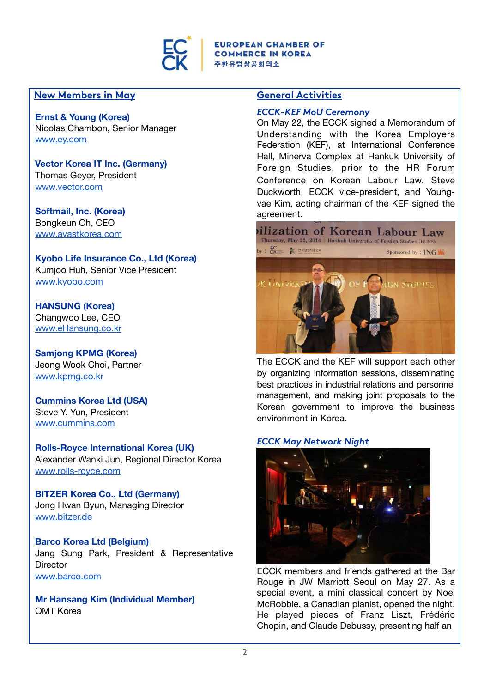

# **New Members in May**

#### **Ernst & Young (Korea)**

Nicolas Chambon, Senior Manager [www.ey.com](http://www.ey.com/) 

**Vector Korea IT Inc. (Germany)** Thomas Geyer, President [www.vector.com](http://www.vector.com/) 

**Softmail, Inc. (Korea)** Bongkeun Oh, CEO [www.avastkorea.com](http://www.avastkorea.com/) 

**Kyobo Life Insurance Co., Ltd (Korea)**  Kumjoo Huh, Senior Vice President [www.kyobo.com](http://www.kyobo.com/)

**HANSUNG (Korea)** Changwoo Lee, CEO [www.eHansung.co.kr](http://www.ehansung.co.kr/) 

**Samjong KPMG (Korea)**  Jeong Wook Choi, Partner [www.kpmg.co.kr](http://www.kpmg.co.kr/) 

**Cummins Korea Ltd (USA)**  Steve Y. Yun, President [www.cummins.com](http://www.cummins.com/) 

**Rolls-Royce International Korea (UK)**  Alexander Wanki Jun, Regional Director Korea [www.rolls-royce.com](http://www.rolls-roce.com/) 

**BITZER Korea Co., Ltd (Germany)** Jong Hwan Byun, Managing Director [www.bitzer.de](http://www.bitzer.de/) 

**Barco Korea Ltd (Belgium)** Jang Sung Park, President & Representative **Director** [www.barco.com](http://www.barco.com/) 

**Mr Hansang Kim (Individual Member)** OMT Korea

# **General Activities**

#### *ECCK-KEF MoU Ceremony*

On May 22, the ECCK signed a Memorandum of Understanding with the Korea Employers Federation (KEF), at International Conference Hall, Minerva Complex at Hankuk University of Foreign Studies, prior to the HR Forum Conference on Korean Labour Law. Steve Duckworth, ECCK vice-president, and Youngvae Kim, acting chairman of the KEF signed the agreement.



The ECCK and the KEF will support each other by organizing information sessions, disseminating best practices in industrial relations and personnel management, and making joint proposals to the Korean government to improve the business environment in Korea.

#### *ECCK May Network Night*



ECCK members and friends gathered at the Bar Rouge in JW Marriott Seoul on May 27. As a special event, a mini classical concert by Noel McRobbie, a Canadian pianist, opened the night. He played pieces of Franz Liszt, Frédéric Chopin, and Claude Debussy, presenting half an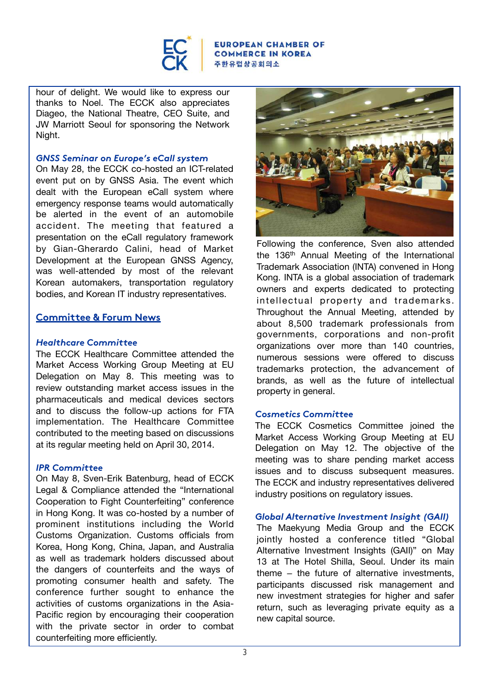

#### ROPEAN CHAMBER OF **COMMERCE IN KOREA** 주한유럽상공회의소

hour of delight. We would like to express our thanks to Noel. The ECCK also appreciates Diageo, the National Theatre, CEO Suite, and JW Marriott Seoul for sponsoring the Network Night.

### *GNSS Seminar on Europe's eCall system*

On May 28, the ECCK co-hosted an ICT-related event put on by GNSS Asia. The event which dealt with the European eCall system where emergency response teams would automatically be alerted in the event of an automobile accident. The meeting that featured a presentation on the eCall regulatory framework by Gian-Gherardo Calini, head of Market Development at the European GNSS Agency, was well-attended by most of the relevant Korean automakers, transportation regulatory bodies, and Korean IT industry representatives.

# **Committee & Forum News**

#### *Healthcare Committee*

The ECCK Healthcare Committee attended the Market Access Working Group Meeting at EU Delegation on May 8. This meeting was to review outstanding market access issues in the pharmaceuticals and medical devices sectors and to discuss the follow-up actions for FTA implementation. The Healthcare Committee contributed to the meeting based on discussions at its regular meeting held on April 30, 2014.

#### *IPR Committee*

On May 8, Sven-Erik Batenburg, head of ECCK Legal & Compliance attended the "International Cooperation to Fight Counterfeiting" conference in Hong Kong. It was co-hosted by a number of prominent institutions including the World Customs Organization. Customs officials from Korea, Hong Kong, China, Japan, and Australia as well as trademark holders discussed about the dangers of counterfeits and the ways of promoting consumer health and safety. The conference further sought to enhance the activities of customs organizations in the Asia-Pacific region by encouraging their cooperation with the private sector in order to combat counterfeiting more efficiently.



Following the conference, Sven also attended the 136<sup>th</sup> Annual Meeting of the International Trademark Association (INTA) convened in Hong Kong. INTA is a global association of trademark owners and experts dedicated to protecting intellectual property and trademarks. Throughout the Annual Meeting, attended by about 8,500 trademark professionals from governments, corporations and non-profit organizations over more than 140 countries, numerous sessions were offered to discuss trademarks protection, the advancement of brands, as well as the future of intellectual property in general.

#### *Cosmetics Committee*

The ECCK Cosmetics Committee joined the Market Access Working Group Meeting at EU Delegation on May 12. The objective of the meeting was to share pending market access issues and to discuss subsequent measures. The ECCK and industry representatives delivered industry positions on regulatory issues.

#### *Global Alternative Investment Insight (GAII)*

The Maekyung Media Group and the ECCK jointly hosted a conference titled "Global Alternative Investment Insights (GAII)" on May 13 at The Hotel Shilla, Seoul. Under its main theme – the future of alternative investments, participants discussed risk management and new investment strategies for higher and safer return, such as leveraging private equity as a new capital source.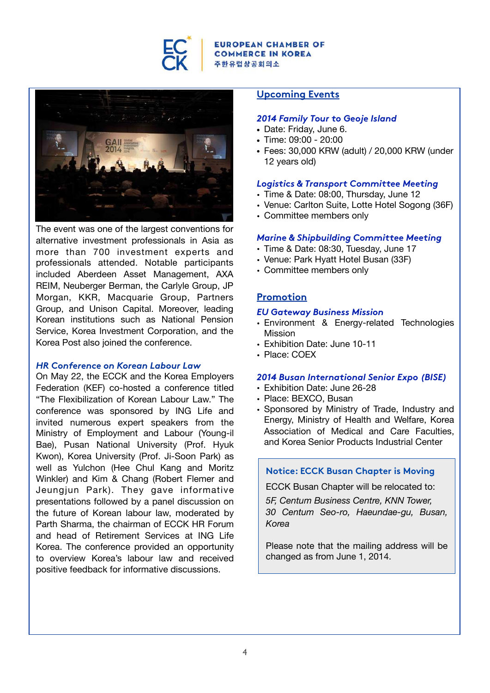

#### **ROPEAN CHAMBER OF COMMERCE IN KOREA 주한유럽상공회의소**



The event was one of the largest conventions for alternative investment professionals in Asia as more than 700 investment experts and professionals attended. Notable participants included Aberdeen Asset Management, AXA REIM, Neuberger Berman, the Carlyle Group, JP Morgan, KKR, Macquarie Group, Partners Group, and Unison Capital. Moreover, leading Korean institutions such as National Pension Service, Korea Investment Corporation, and the Korea Post also joined the conference.

#### *HR Conference on Korean Labour Law*

On May 22, the ECCK and the Korea Employers Federation (KEF) co-hosted a conference titled "The Flexibilization of Korean Labour Law." The conference was sponsored by ING Life and invited numerous expert speakers from the Ministry of Employment and Labour (Young-il Bae), Pusan National University (Prof. Hyuk Kwon), Korea University (Prof. Ji-Soon Park) as well as Yulchon (Hee Chul Kang and Moritz Winkler) and Kim & Chang (Robert Flemer and Jeungjun Park). They gave informative presentations followed by a panel discussion on the future of Korean labour law, moderated by Parth Sharma, the chairman of ECCK HR Forum and head of Retirement Services at ING Life Korea. The conference provided an opportunity to overview Korea's labour law and received positive feedback for informative discussions.

### **Upcoming Events**

#### *[2014 Family Tour to Geoje Island](http://ecck.eu/nhc/bbs/board.php?bo_table=sub04_01&wr_id=114&sca=Upcoming+Events)*

- Date: Friday, June 6.
- Time: 09:00 20:00
- Fees: 30,000 KRW (adult) / 20,000 KRW (under 12 years old)

#### *[Logistics & Transport Committee Meeting](http://ecck.eu/nhc/bbs/board.php?bo_table=sub04_01&wr_id=118&sca=Upcoming+Events)*

- Time & Date: 08:00, Thursday, June 12
- Venue: Carlton Suite, Lotte Hotel Sogong (36F)
- Committee members only

#### *[Marine & Shipbuilding Committee Meeting](http://ecck.eu/nhc/bbs/board.php?bo_table=sub04_01&wr_id=120&sca=Upcoming+Events)*

- Time & Date: 08:30, Tuesday, June 17
- Venue: Park Hyatt Hotel Busan (33F)
- Committee members only

#### **Promotion**

#### *[EU Gateway Business Mission](http://www.eu-gateway.eu/business-missions)*

- Environment & Energy-related Technologies Mission
- Exhibition Date: June 10-11
- Place: COEX

#### *[2014 Busan International Senior Expo \(BISE\)](http://www.busanseniorexpo.com/eng/)*

- Exhibition Date: June 26-28
- Place: BEXCO, Busan
- Sponsored by Ministry of Trade, Industry and Energy, Ministry of Health and Welfare, Korea Association of Medical and Care Faculties, and Korea Senior Products Industrial Center

#### **Notice: ECCK Busan Chapter is Moving**

ECCK Busan Chapter will be relocated to:

*5F, Centum Business Centre, KNN Tower, 30 Centum Seo-ro, Haeundae-gu, Busan, Korea*

Please note that the mailing address will be changed as from June 1, 2014.